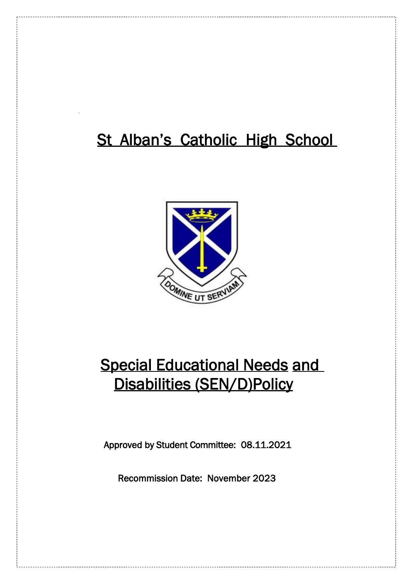# St Alban's Catholic High School



# Special Educational Needs and Disabilities (SEN/D)Policy

Approved by Student Committee: 08.11.2021

Recommission Date: November 2023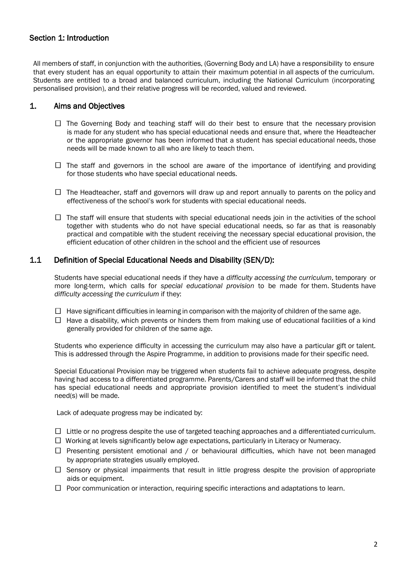## Section 1: Introduction

All members of staff, in conjunction with the authorities, (Governing Body and LA) have a responsibility to ensure that every student has an equal opportunity to attain their maximum potential in all aspects of the curriculum. Students are entitled to a broad and balanced curriculum, including the National Curriculum (incorporating personalised provision), and their relative progress will be recorded, valued and reviewed.

## 1. Aims and Objectives

- $\Box$  The Governing Body and teaching staff will do their best to ensure that the necessary provision is made for any student who has special educational needs and ensure that, where the Headteacher or the appropriate governor has been informed that a student has special educational needs, those needs will be made known to all who are likely to teach them.
- $\Box$  The staff and governors in the school are aware of the importance of identifying and providing for those students who have special educational needs.
- $\Box$  The Headteacher, staff and governors will draw up and report annually to parents on the policy and effectiveness of the school's work for students with special educational needs.
- $\Box$  The staff will ensure that students with special educational needs join in the activities of the school together with students who do not have special educational needs, so far as that is reasonably practical and compatible with the student receiving the necessary special educational provision, the efficient education of other children in the school and the efficient use of resources

## 1.1 Definition of Special Educational Needs and Disability (SEN/D):

Students have special educational needs if they have a *difficulty accessing the curriculum*, temporary or more long-term, which calls for *special educational provision* to be made for them. Students have *difficulty accessing the curriculum* if they:

- $\Box$  Have significant difficulties in learning in comparison with the majority of children of the same age.
- $\Box$  Have a disability, which prevents or hinders them from making use of educational facilities of a kind generally provided for children of the same age.

Students who experience difficulty in accessing the curriculum may also have a particular gift or talent. This is addressed through the Aspire Programme, in addition to provisions made for their specific need.

Special Educational Provision may be triggered when students fail to achieve adequate progress, despite having had access to a differentiated programme. Parents/Carers and staff will be informed that the child has special educational needs and appropriate provision identified to meet the student's individual need(s) will be made.

Lack of adequate progress may be indicated by:

- $\Box$  Little or no progress despite the use of targeted teaching approaches and a differentiated curriculum.
- $\Box$  Working at levels significantly below age expectations, particularly in Literacy or Numeracy.
- $\Box$  Presenting persistent emotional and / or behavioural difficulties, which have not been managed by appropriate strategies usually employed.
- $\Box$  Sensory or physical impairments that result in little progress despite the provision of appropriate aids or equipment.
- $\Box$  Poor communication or interaction, requiring specific interactions and adaptations to learn.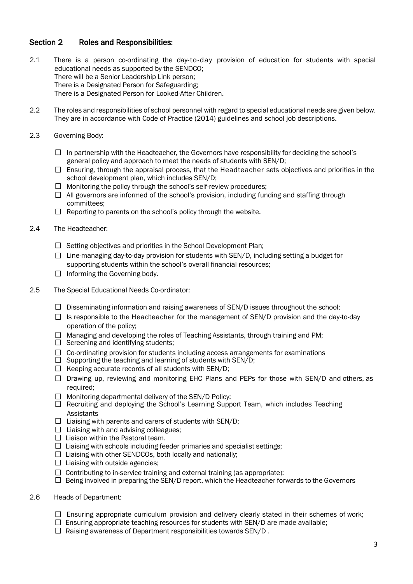## Section 2 Roles and Responsibilities:

- 2.1 There is a person co-ordinating the day-to-day provision of education for students with special educational needs as supported by the SENDCO; There will be a Senior Leadership Link person; There is a Designated Person for Safeguarding; There is a Designated Person for Looked-After Children.
- 2.2 The roles and responsibilities of school personnel with regard to special educational needs are given below. They are in accordance with Code of Practice (2014) guidelines and school job descriptions.
- 2.3 Governing Body:
	- $\Box$  In partnership with the Headteacher, the Governors have responsibility for deciding the school's general policy and approach to meet the needs of students with SEN/D;
	- $\Box$  Ensuring, through the appraisal process, that the Headteacher sets objectives and priorities in the school development plan, which includes SEN/D;
	- $\Box$  Monitoring the policy through the school's self-review procedures;
	- $\Box$  All governors are informed of the school's provision, including funding and staffing through committees;
	- $\Box$  Reporting to parents on the school's policy through the website.
- 2.4 The Headteacher:
	- $\Box$  Setting objectives and priorities in the School Development Plan;
	- $\Box$  Line-managing day-to-day provision for students with SEN/D, including setting a budget for supporting students within the school's overall financial resources;
	- $\Box$  Informing the Governing body.
- 2.5 The Special Educational Needs Co-ordinator:
	- $\Box$  Disseminating information and raising awareness of SEN/D issues throughout the school;
	- $\Box$  Is responsible to the Headteacher for the management of SEN/D provision and the day-to-day operation of the policy;
	- $\Box$  Managing and developing the roles of Teaching Assistants, through training and PM;
	- $\Box$  Screening and identifying students;
	- $\Box$  Co-ordinating provision for students including access arrangements for examinations
	- $\square$  Supporting the teaching and learning of students with SEN/D;
	- $\Box$  Keeping accurate records of all students with SEN/D;
	- $\Box$  Drawing up, reviewing and monitoring EHC Plans and PEPs for those with SEN/D and others, as required;
	- $\Box$  Monitoring departmental delivery of the SEN/D Policy;
	- $\Box$  Recruiting and deploying the School's Learning Support Team, which includes Teaching **Assistants**
	- $\Box$  Liaising with parents and carers of students with SEN/D;
	- $\Box$  Liaising with and advising colleagues:
	- $\Box$  Liaison within the Pastoral team.
	- $\Box$  Liaising with schools including feeder primaries and specialist settings;
	- $\Box$  Liaising with other SENDCOs, both locally and nationally;
	- $\Box$  Liaising with outside agencies;
	- $\Box$  Contributing to in-service training and external training (as appropriate);
	- $\Box$  Being involved in preparing the SEN/D report, which the Headteacher forwards to the Governors
- 2.6 Heads of Department:
	- $\Box$  Ensuring appropriate curriculum provision and delivery clearly stated in their schemes of work;
	- $\Box$  Ensuring appropriate teaching resources for students with SEN/D are made available;
	- $\Box$  Raising awareness of Department responsibilities towards SEN/D.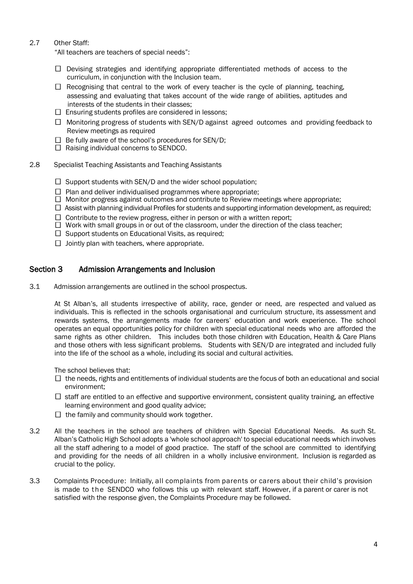## 2.7 Other Staff:

"All teachers are teachers of special needs":

- $\Box$  Devising strategies and identifying appropriate differentiated methods of access to the curriculum, in conjunction with the Inclusion team.
- $\Box$  Recognising that central to the work of every teacher is the cycle of planning, teaching, assessing and evaluating that takes account of the wide range of abilities, aptitudes and interests of the students in their classes;
- $\square$  Ensuring students profiles are considered in lessons;
- $\Box$  Monitoring progress of students with SEN/D against agreed outcomes and providing feedback to Review meetings as required
- $\Box$  Be fully aware of the school's procedures for SEN/D;
- $\Box$  Raising individual concerns to SENDCO.
- 2.8 Specialist Teaching Assistants and Teaching Assistants
	- $\Box$  Support students with SEN/D and the wider school population;
	- $\Box$  Plan and deliver individualised programmes where appropriate;
	- $\Box$  Monitor progress against outcomes and contribute to Review meetings where appropriate;
	- $\Box$  Assist with planning individual Profiles for students and supporting information development, as required;
	- $\Box$  Contribute to the review progress, either in person or with a written report;
	- $\Box$  Work with small groups in or out of the classroom, under the direction of the class teacher;
	- $\Box$  Support students on Educational Visits, as required:
	- $\Box$  Jointly plan with teachers, where appropriate.

## Section 3 Admission Arrangements and Inclusion

3.1 Admission arrangements are outlined in the school prospectus.

At St Alban's, all students irrespective of ability, race, gender or need, are respected and valued as individuals. This is reflected in the schools organisational and curriculum structure, its assessment and rewards systems, the arrangements made for careers' education and work experience. The school operates an equal opportunities policy for children with special educational needs who are afforded the same rights as other children. This includes both those children with Education, Health & Care Plans and those others with less significant problems. Students with SEN/D are integrated and included fully into the life of the school as a whole, including its social and cultural activities.

The school believes that:

- $\Box$  the needs, rights and entitlements of individual students are the focus of both an educational and social environment;
- $\Box$  staff are entitled to an effective and supportive environment, consistent quality training, an effective learning environment and good quality advice;
- $\Box$  the family and community should work together.
- 3.2 All the teachers in the school are teachers of children with Special Educational Needs. As such St. Alban's Catholic High School adopts a 'whole school approach' to special educational needs which involves all the staff adhering to a model of good practice. The staff of the school are committed to identifying and providing for the needs of all children in a wholly inclusive environment. Inclusion is regarded as crucial to the policy.
- 3.3 Complaints Procedure: Initially, all complaints from parents or carers about their child's provision is made to the SENDCO who follows this up with relevant staff. However, if a parent or carer is not satisfied with the response given, the Complaints Procedure may be followed.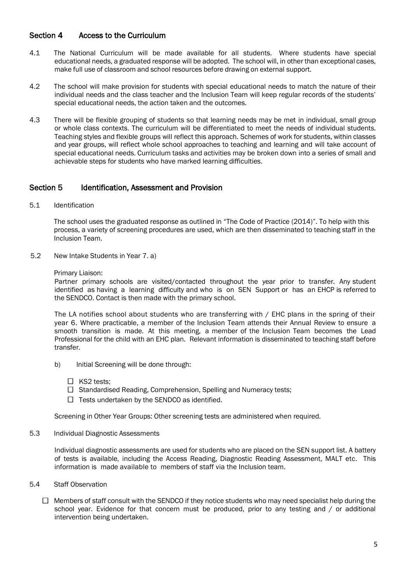## Section 4 Access to the Curriculum

- 4.1 The National Curriculum will be made available for all students. Where students have special educational needs, a graduated response will be adopted. The school will, in other than exceptional cases, make full use of classroom and school resources before drawing on external support.
- 4.2 The school will make provision for students with special educational needs to match the nature of their individual needs and the class teacher and the Inclusion Team will keep regular records of the students' special educational needs, the action taken and the outcomes.
- 4.3 There will be flexible grouping of students so that learning needs may be met in individual, small group or whole class contexts. The curriculum will be differentiated to meet the needs of individual students. Teaching styles and flexible groups will reflect this approach. Schemes of work for students, within classes and year groups, will reflect whole school approaches to teaching and learning and will take account of special educational needs. Curriculum tasks and activities may be broken down into a series of small and achievable steps for students who have marked learning difficulties.

## Section 5 Identification, Assessment and Provision

5.1 Identification

The school uses the graduated response as outlined in "The Code of Practice (2014)". To help with this process, a variety of screening procedures are used, which are then disseminated to teaching staff in the Inclusion Team.

5.2 New Intake Students in Year 7. a)

Primary Liaison:

Partner primary schools are visited/contacted throughout the year prior to transfer. Any student identified as having a learning difficulty and who is on SEN Support or has an EHCP is referred to the SENDCO. Contact is then made with the primary school.

The LA notifies school about students who are transferring with / EHC plans in the spring of their year 6. Where practicable, a member of the Inclusion Team attends their Annual Review to ensure a smooth transition is made. At this meeting, a member of the Inclusion Team becomes the Lead Professional for the child with an EHC plan. Relevant information is disseminated to teaching staff before transfer.

- b) Initial Screening will be done through:
	- $\Box$  KS2 tests;
	- $\Box$  Standardised Reading, Comprehension, Spelling and Numeracy tests;
	- $\Box$  Tests undertaken by the SENDCO as identified.

Screening in Other Year Groups: Other screening tests are administered when required.

5.3 Individual Diagnostic Assessments

Individual diagnostic assessments are used for students who are placed on the SEN support list. A battery of tests is available, including the Access Reading, Diagnostic Reading Assessment, MALT etc. This information is made available to members of staff via the Inclusion team.

- 5.4 Staff Observation
	- $\Box$  Members of staff consult with the SENDCO if they notice students who may need specialist help during the school year. Evidence for that concern must be produced, prior to any testing and / or additional intervention being undertaken.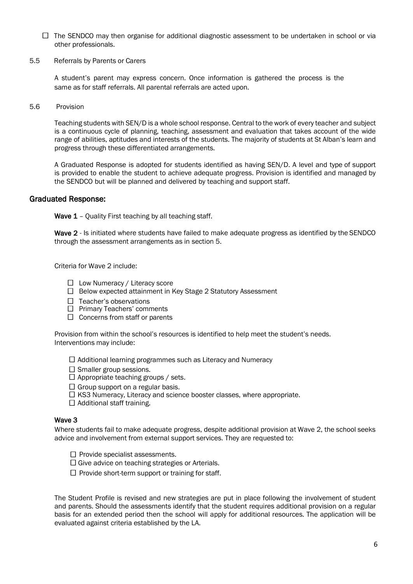- $\Box$  The SENDCO may then organise for additional diagnostic assessment to be undertaken in school or via other professionals.
- 5.5 Referrals by Parents or Carers

A student's parent may express concern. Once information is gathered the process is the same as for staff referrals. All parental referrals are acted upon.

5.6 Provision

Teaching students with SEN/D is a whole school response. Central to the work of every teacher and subject is a continuous cycle of planning, teaching, assessment and evaluation that takes account of the wide range of abilities, aptitudes and interests of the students. The majority of students at St Alban's learn and progress through these differentiated arrangements.

A Graduated Response is adopted for students identified as having SEN/D. A level and type of support is provided to enable the student to achieve adequate progress. Provision is identified and managed by the SENDCO but will be planned and delivered by teaching and support staff.

## Graduated Response:

Wave 1 - Quality First teaching by all teaching staff.

Wave 2 - Is initiated where students have failed to make adequate progress as identified by the SENDCO through the assessment arrangements as in section 5.

Criteria for Wave 2 include:

- $\Box$  Low Numeracy / Literacy score
- □ Below expected attainment in Key Stage 2 Statutory Assessment
- $\Box$  Teacher's observations
- $\Box$  Primary Teachers' comments
- $\Box$  Concerns from staff or parents

Provision from within the school's resources is identified to help meet the student's needs. Interventions may include:

 $\Box$  Additional learning programmes such as Literacy and Numeracy

- $\square$  Smaller group sessions.
- $\square$  Appropriate teaching groups / sets.
- $\Box$  Group support on a regular basis.
- $\Box$  KS3 Numeracy, Literacy and science booster classes, where appropriate.
- $\Box$  Additional staff training.

#### Wave 3

Where students fail to make adequate progress, despite additional provision at Wave 2, the school seeks advice and involvement from external support services. They are requested to:

- $\Box$  Provide specialist assessments.
- $\Box$  Give advice on teaching strategies or Arterials.
- $\Box$  Provide short-term support or training for staff.

The Student Profile is revised and new strategies are put in place following the involvement of student and parents. Should the assessments identify that the student requires additional provision on a regular basis for an extended period then the school will apply for additional resources. The application will be evaluated against criteria established by the LA.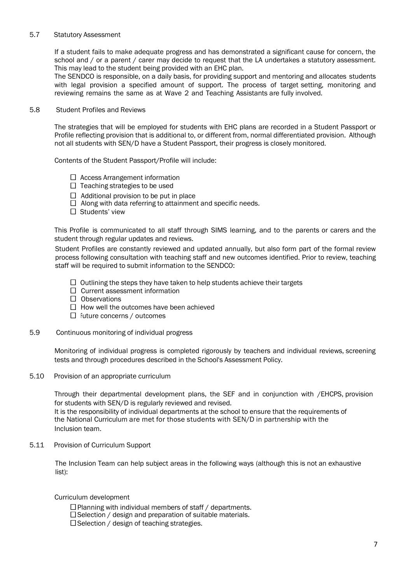#### 5.7 Statutory Assessment

If a student fails to make adequate progress and has demonstrated a significant cause for concern, the school and / or a parent / carer may decide to request that the LA undertakes a statutory assessment. This may lead to the student being provided with an EHC plan.

The SENDCO is responsible, on a daily basis, for providing support and mentoring and allocates students with legal provision a specified amount of support. The process of target setting, monitoring and reviewing remains the same as at Wave 2 and Teaching Assistants are fully involved.

#### 5.8 Student Profiles and Reviews

The strategies that will be employed for students with EHC plans are recorded in a Student Passport or Profile reflecting provision that is additional to, or different from, normal differentiated provision. Although not all students with SEN/D have a Student Passport, their progress is closely monitored.

Contents of the Student Passport/Profile will include:

- $\Box$  Access Arrangement information
- $\Box$  Teaching strategies to be used
- $\Box$  Additional provision to be put in place
- $\Box$  Along with data referring to attainment and specific needs.
- $\Box$  Students' view

This Profile is communicated to all staff through SIMS learning, and to the parents or carers and the student through regular updates and reviews.

Student Profiles are constantly reviewed and updated annually, but also form part of the formal review process following consultation with teaching staff and new outcomes identified. Prior to review, teaching staff will be required to submit information to the SENDCO:

- $\Box$  Outlining the steps they have taken to help students achieve their targets
- $\Box$  Current assessment information
- $\Box$  Observations
- $\Box$  How well the outcomes have been achieved
- $\Box$  Future concerns / outcomes
- 5.9 Continuous monitoring of individual progress

Monitoring of individual progress is completed rigorously by teachers and individual reviews, screening tests and through procedures described in the School's Assessment Policy.

5.10 Provision of an appropriate curriculum

Through their departmental development plans, the SEF and in conjunction with /EHCPS, provision for students with SEN/D is regularly reviewed and revised.

It is the responsibility of individual departments at the school to ensure that the requirements of the National Curriculum are met for those students with SEN/D in partnership with the Inclusion team.

5.11 Provision of Curriculum Support

The Inclusion Team can help subject areas in the following ways (although this is not an exhaustive list):

Curriculum development

- $\Box$  Planning with individual members of staff / departments.
- $\square$  Selection / design and preparation of suitable materials.
- $\Box$  Selection / design of teaching strategies.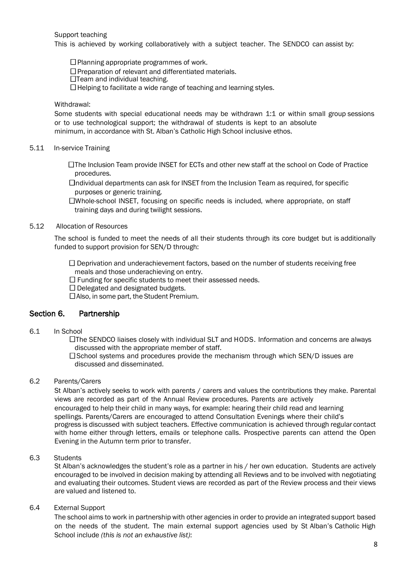Support teaching

This is achieved by working collaboratively with a subject teacher. The SENDCO can assist by:

 $\square$  Planning appropriate programmes of work.

 $\square$  Preparation of relevant and differentiated materials.

 $\Box$ Team and individual teaching.

 $\Box$  Helping to facilitate a wide range of teaching and learning styles.

#### Withdrawal:

Some students with special educational needs may be withdrawn 1:1 or within small group sessions or to use technological support; the withdrawal of students is kept to an absolute minimum, in accordance with St. Alban's Catholic High School inclusive ethos.

#### 5.11 In-service Training

 The Inclusion Team provide INSET for ECTs and other new staff at the school on Code of Practice procedures.

 $\Box$ ndividual departments can ask for INSET from the Inclusion Team as required, for specific purposes or generic training.

 Whole-school INSET, focusing on specific needs is included, where appropriate, on staff training days and during twilight sessions.

#### 5.12 Allocation of Resources

The school is funded to meet the needs of all their students through its core budget but is additionally funded to support provision for SEN/D through:

 $\Box$  Deprivation and underachievement factors, based on the number of students receiving free meals and those underachieving on entry.

 $\Box$  Funding for specific students to meet their assessed needs.

 $\Box$  Delegated and designated budgets.

 $\Box$  Also, in some part, the Student Premium.

#### Section 6. Partnership

6.1 In School

 The SENDCO liaises closely with individual SLT and HODS. Information and concerns are always discussed with the appropriate member of staff.

 $\square$  School systems and procedures provide the mechanism through which SEN/D issues are discussed and disseminated.

## 6.2 Parents/Carers

St Alban's actively seeks to work with parents / carers and values the contributions they make. Parental views are recorded as part of the Annual Review procedures. Parents are actively encouraged to help their child in many ways, for example: hearing their child read and learning spellings. Parents/Carers are encouraged to attend Consultation Evenings where their child's progress is discussed with subject teachers. Effective communication is achieved through regular contact with home either through letters, emails or telephone calls. Prospective parents can attend the Open Evening in the Autumn term prior to transfer.

#### 6.3 Students

St Alban's acknowledges the student's role as a partner in his / her own education. Students are actively encouraged to be involved in decision making by attending all Reviews and to be involved with negotiating and evaluating their outcomes. Student views are recorded as part of the Review process and their views are valued and listened to.

#### 6.4 External Support

The school aims to work in partnership with other agencies in order to provide an integrated support based on the needs of the student. The main external support agencies used by St Alban's Catholic High School include *(this is not an exhaustive list)*: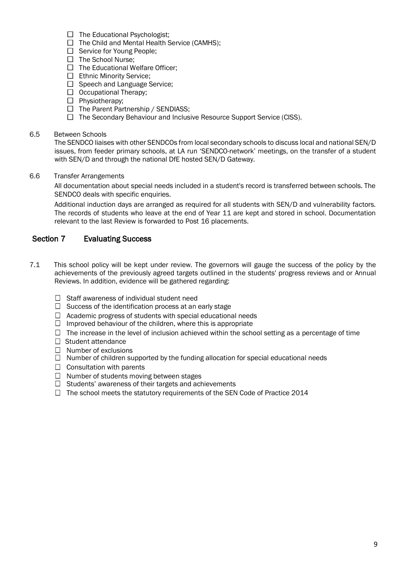- $\Box$  The Educational Psychologist;
- $\Box$  The Child and Mental Health Service (CAMHS):
- $\Box$  Service for Young People:
- $\Box$  The School Nurse:
- $\Box$  The Educational Welfare Officer:
- □ Ethnic Minority Service:
- $\Box$  Speech and Language Service;
- $\Box$  Occupational Therapy;
- $\Box$  Physiotherapy;
- $\Box$  The Parent Partnership / SENDIASS;
- $\Box$  The Secondary Behaviour and Inclusive Resource Support Service (CISS).

#### 6.5 Between Schools

The SENDCO liaises with other SENDCOs from local secondary schools to discuss local and national SEN/D issues, from feeder primary schools, at LA run 'SENDCO-network' meetings, on the transfer of a student with SEN/D and through the national DfE hosted SEN/D Gateway.

6.6 Transfer Arrangements

All documentation about special needs included in a student's record is transferred between schools. The SENDCO deals with specific enquiries.

Additional induction days are arranged as required for all students with SEN/D and vulnerability factors. The records of students who leave at the end of Year 11 are kept and stored in school. Documentation relevant to the last Review is forwarded to Post 16 placements.

## Section 7 Evaluating Success

- 7.1 This school policy will be kept under review. The governors will gauge the success of the policy by the achievements of the previously agreed targets outlined in the students' progress reviews and or Annual Reviews. In addition, evidence will be gathered regarding:
	- $\Box$  Staff awareness of individual student need
	- $\Box$  Success of the identification process at an early stage
	- $\Box$  Academic progress of students with special educational needs
	- $\Box$  Improved behaviour of the children, where this is appropriate
	- $\Box$  The increase in the level of inclusion achieved within the school setting as a percentage of time
	- $\Box$  Student attendance
	- $\Box$  Number of exclusions
	- $\Box$  Number of children supported by the funding allocation for special educational needs
	- $\Box$  Consultation with parents
	- $\Box$  Number of students moving between stages
	- $\Box$  Students' awareness of their targets and achievements
	- $\Box$  The school meets the statutory requirements of the SEN Code of Practice 2014